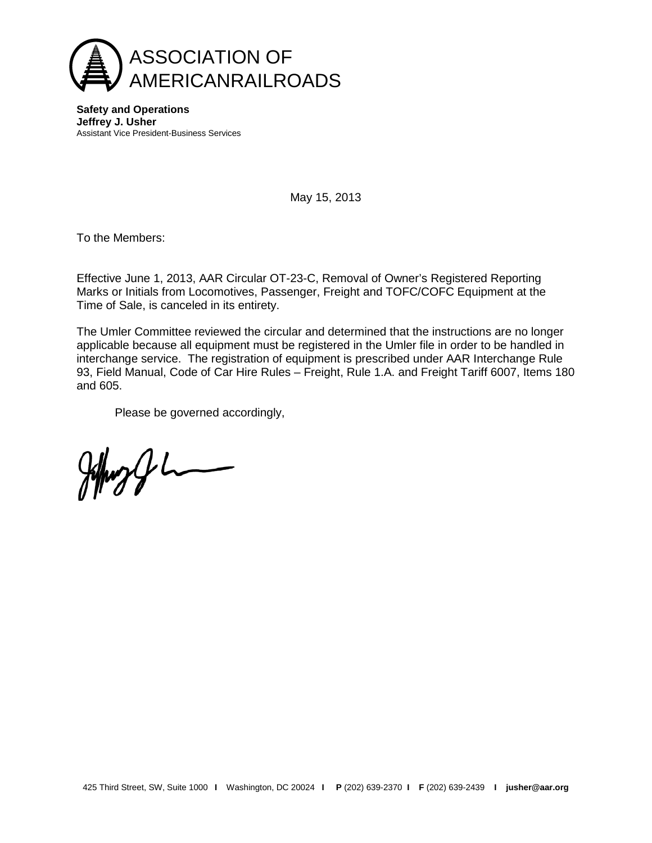

**Safety and Operations Jeffrey J. Usher** Assistant Vice President-Business Services

May 15, 2013

To the Members:

Effective June 1, 2013, AAR Circular OT-23-C, Removal of Owner's Registered Reporting Marks or Initials from Locomotives, Passenger, Freight and TOFC/COFC Equipment at the Time of Sale, is canceled in its entirety.

The Umler Committee reviewed the circular and determined that the instructions are no longer applicable because all equipment must be registered in the Umler file in order to be handled in interchange service. The registration of equipment is prescribed under AAR Interchange Rule 93, Field Manual, Code of Car Hire Rules – Freight, Rule 1.A. and Freight Tariff 6007, Items 180 and 605.

Please be governed accordingly,

Johnson L